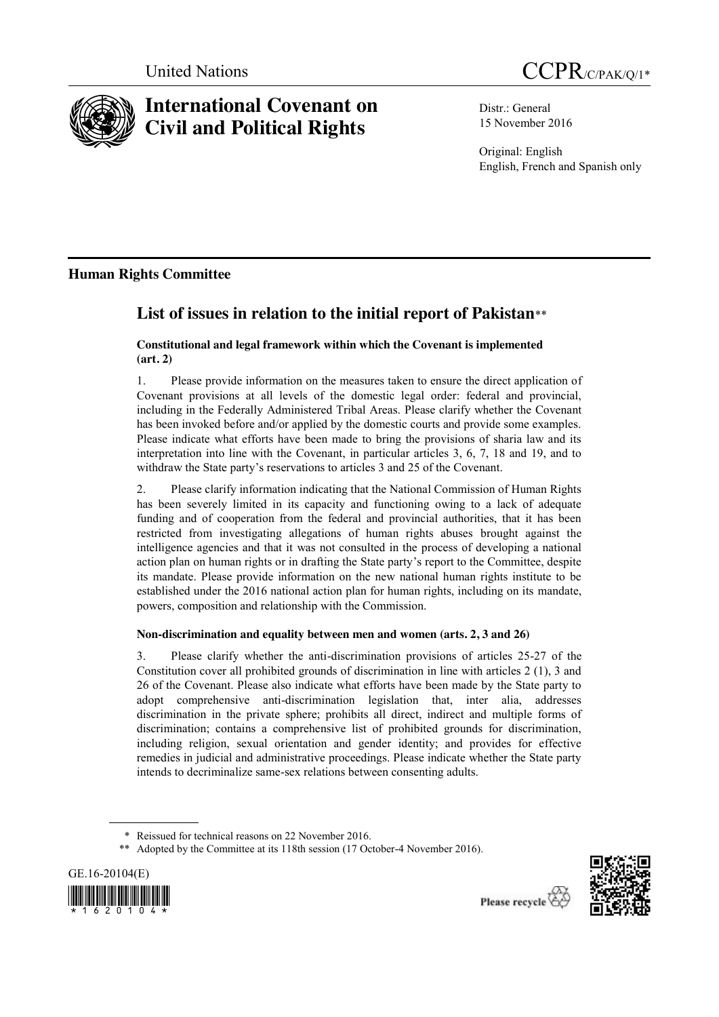



# **International Covenant on Civil and Political Rights**

Distr.: General 15 November 2016

Original: English English, French and Spanish only

## **Human Rights Committee**

## **List of issues in relation to the initial report of Pakistan**\*\*

## **Constitutional and legal framework within which the Covenant is implemented (art. 2)**

1. Please provide information on the measures taken to ensure the direct application of Covenant provisions at all levels of the domestic legal order: federal and provincial, including in the Federally Administered Tribal Areas. Please clarify whether the Covenant has been invoked before and/or applied by the domestic courts and provide some examples. Please indicate what efforts have been made to bring the provisions of sharia law and its interpretation into line with the Covenant, in particular articles 3, 6, 7, 18 and 19, and to withdraw the State party's reservations to articles 3 and 25 of the Covenant.

2. Please clarify information indicating that the National Commission of Human Rights has been severely limited in its capacity and functioning owing to a lack of adequate funding and of cooperation from the federal and provincial authorities, that it has been restricted from investigating allegations of human rights abuses brought against the intelligence agencies and that it was not consulted in the process of developing a national action plan on human rights or in drafting the State party's report to the Committee, despite its mandate. Please provide information on the new national human rights institute to be established under the 2016 national action plan for human rights, including on its mandate, powers, composition and relationship with the Commission.

## **Non-discrimination and equality between men and women (arts. 2, 3 and 26)**

3. Please clarify whether the anti-discrimination provisions of articles 25-27 of the Constitution cover all prohibited grounds of discrimination in line with articles 2 (1), 3 and 26 of the Covenant. Please also indicate what efforts have been made by the State party to adopt comprehensive anti-discrimination legislation that, inter alia, addresses discrimination in the private sphere; prohibits all direct, indirect and multiple forms of discrimination; contains a comprehensive list of prohibited grounds for discrimination, including religion, sexual orientation and gender identity; and provides for effective remedies in judicial and administrative proceedings. Please indicate whether the State party intends to decriminalize same-sex relations between consenting adults.

<sup>\*\*</sup> Adopted by the Committee at its 118th session (17 October-4 November 2016).





<sup>\*</sup> Reissued for technical reasons on 22 November 2016.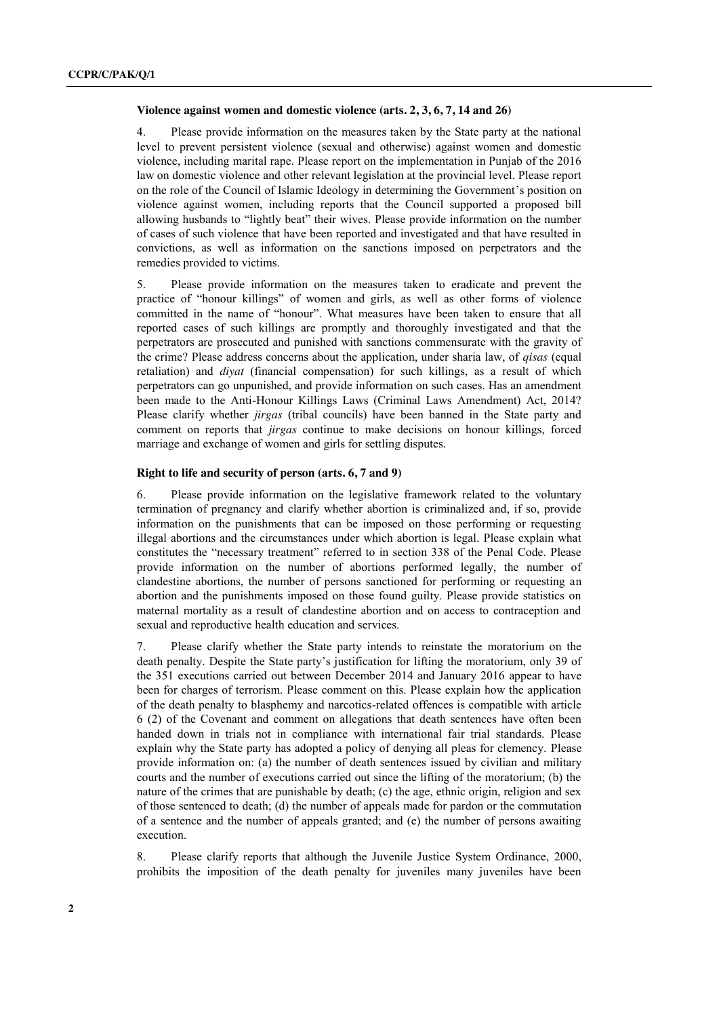#### **Violence against women and domestic violence (arts. 2, 3, 6, 7, 14 and 26)**

4. Please provide information on the measures taken by the State party at the national level to prevent persistent violence (sexual and otherwise) against women and domestic violence, including marital rape. Please report on the implementation in Punjab of the 2016 law on domestic violence and other relevant legislation at the provincial level. Please report on the role of the Council of Islamic Ideology in determining the Government's position on violence against women, including reports that the Council supported a proposed bill allowing husbands to "lightly beat" their wives. Please provide information on the number of cases of such violence that have been reported and investigated and that have resulted in convictions, as well as information on the sanctions imposed on perpetrators and the remedies provided to victims.

5. Please provide information on the measures taken to eradicate and prevent the practice of "honour killings" of women and girls, as well as other forms of violence committed in the name of "honour". What measures have been taken to ensure that all reported cases of such killings are promptly and thoroughly investigated and that the perpetrators are prosecuted and punished with sanctions commensurate with the gravity of the crime? Please address concerns about the application, under sharia law, of *qisas* (equal retaliation) and *diyat* (financial compensation) for such killings, as a result of which perpetrators can go unpunished, and provide information on such cases. Has an amendment been made to the Anti-Honour Killings Laws (Criminal Laws Amendment) Act, 2014? Please clarify whether *jirgas* (tribal councils) have been banned in the State party and comment on reports that *jirgas* continue to make decisions on honour killings, forced marriage and exchange of women and girls for settling disputes.

### **Right to life and security of person (arts. 6, 7 and 9)**

6. Please provide information on the legislative framework related to the voluntary termination of pregnancy and clarify whether abortion is criminalized and, if so, provide information on the punishments that can be imposed on those performing or requesting illegal abortions and the circumstances under which abortion is legal. Please explain what constitutes the "necessary treatment" referred to in section 338 of the Penal Code. Please provide information on the number of abortions performed legally, the number of clandestine abortions, the number of persons sanctioned for performing or requesting an abortion and the punishments imposed on those found guilty. Please provide statistics on maternal mortality as a result of clandestine abortion and on access to contraception and sexual and reproductive health education and services.

7. Please clarify whether the State party intends to reinstate the moratorium on the death penalty. Despite the State party's justification for lifting the moratorium, only 39 of the 351 executions carried out between December 2014 and January 2016 appear to have been for charges of terrorism. Please comment on this. Please explain how the application of the death penalty to blasphemy and narcotics-related offences is compatible with article 6 (2) of the Covenant and comment on allegations that death sentences have often been handed down in trials not in compliance with international fair trial standards. Please explain why the State party has adopted a policy of denying all pleas for clemency. Please provide information on: (a) the number of death sentences issued by civilian and military courts and the number of executions carried out since the lifting of the moratorium; (b) the nature of the crimes that are punishable by death; (c) the age, ethnic origin, religion and sex of those sentenced to death; (d) the number of appeals made for pardon or the commutation of a sentence and the number of appeals granted; and (e) the number of persons awaiting execution.

8. Please clarify reports that although the Juvenile Justice System Ordinance, 2000, prohibits the imposition of the death penalty for juveniles many juveniles have been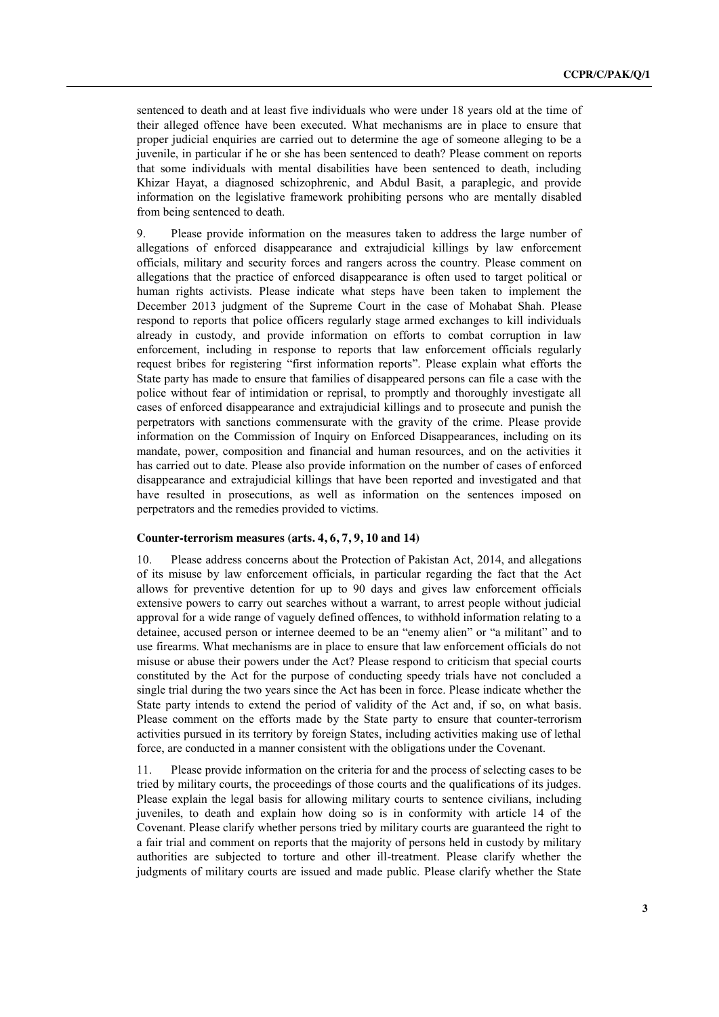sentenced to death and at least five individuals who were under 18 years old at the time of their alleged offence have been executed. What mechanisms are in place to ensure that proper judicial enquiries are carried out to determine the age of someone alleging to be a juvenile, in particular if he or she has been sentenced to death? Please comment on reports that some individuals with mental disabilities have been sentenced to death, including Khizar Hayat, a diagnosed schizophrenic, and Abdul Basit, a paraplegic, and provide information on the legislative framework prohibiting persons who are mentally disabled from being sentenced to death.

9. Please provide information on the measures taken to address the large number of allegations of enforced disappearance and extrajudicial killings by law enforcement officials, military and security forces and rangers across the country. Please comment on allegations that the practice of enforced disappearance is often used to target political or human rights activists. Please indicate what steps have been taken to implement the December 2013 judgment of the Supreme Court in the case of Mohabat Shah. Please respond to reports that police officers regularly stage armed exchanges to kill individuals already in custody, and provide information on efforts to combat corruption in law enforcement, including in response to reports that law enforcement officials regularly request bribes for registering "first information reports". Please explain what efforts the State party has made to ensure that families of disappeared persons can file a case with the police without fear of intimidation or reprisal, to promptly and thoroughly investigate all cases of enforced disappearance and extrajudicial killings and to prosecute and punish the perpetrators with sanctions commensurate with the gravity of the crime. Please provide information on the Commission of Inquiry on Enforced Disappearances, including on its mandate, power, composition and financial and human resources, and on the activities it has carried out to date. Please also provide information on the number of cases of enforced disappearance and extrajudicial killings that have been reported and investigated and that have resulted in prosecutions, as well as information on the sentences imposed on perpetrators and the remedies provided to victims.

#### **Counter-terrorism measures (arts. 4, 6, 7, 9, 10 and 14)**

10. Please address concerns about the Protection of Pakistan Act, 2014, and allegations of its misuse by law enforcement officials, in particular regarding the fact that the Act allows for preventive detention for up to 90 days and gives law enforcement officials extensive powers to carry out searches without a warrant, to arrest people without judicial approval for a wide range of vaguely defined offences, to withhold information relating to a detainee, accused person or internee deemed to be an "enemy alien" or "a militant" and to use firearms. What mechanisms are in place to ensure that law enforcement officials do not misuse or abuse their powers under the Act? Please respond to criticism that special courts constituted by the Act for the purpose of conducting speedy trials have not concluded a single trial during the two years since the Act has been in force. Please indicate whether the State party intends to extend the period of validity of the Act and, if so, on what basis. Please comment on the efforts made by the State party to ensure that counter-terrorism activities pursued in its territory by foreign States, including activities making use of lethal force, are conducted in a manner consistent with the obligations under the Covenant.

11. Please provide information on the criteria for and the process of selecting cases to be tried by military courts, the proceedings of those courts and the qualifications of its judges. Please explain the legal basis for allowing military courts to sentence civilians, including juveniles, to death and explain how doing so is in conformity with article 14 of the Covenant. Please clarify whether persons tried by military courts are guaranteed the right to a fair trial and comment on reports that the majority of persons held in custody by military authorities are subjected to torture and other ill-treatment. Please clarify whether the judgments of military courts are issued and made public. Please clarify whether the State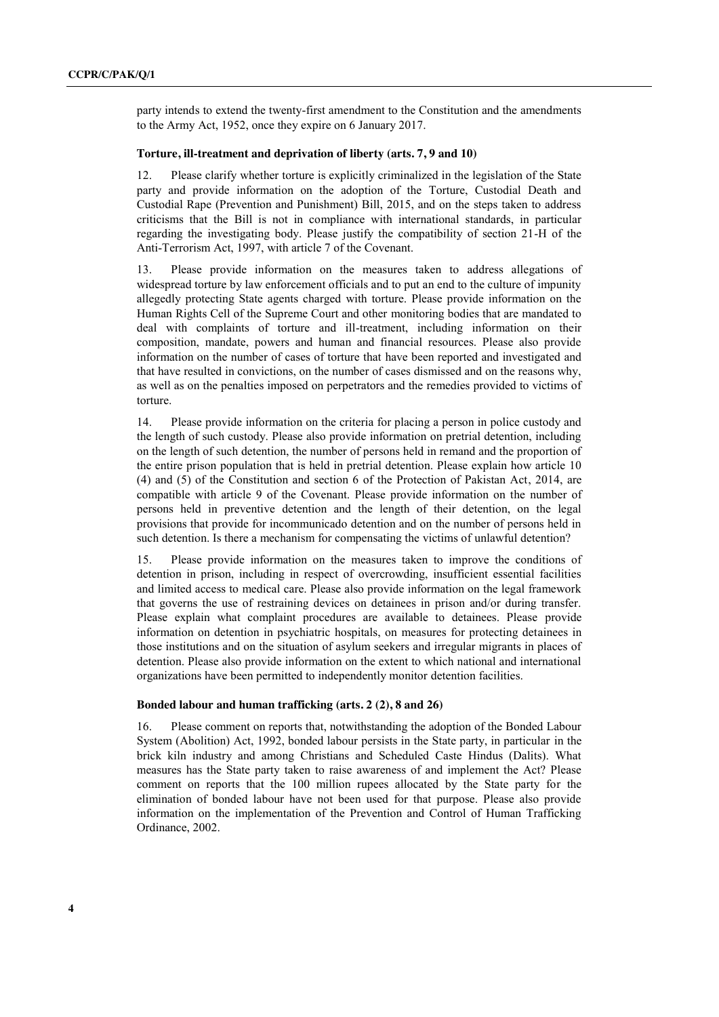party intends to extend the twenty-first amendment to the Constitution and the amendments to the Army Act, 1952, once they expire on 6 January 2017.

### **Torture, ill-treatment and deprivation of liberty (arts. 7, 9 and 10)**

12. Please clarify whether torture is explicitly criminalized in the legislation of the State party and provide information on the adoption of the Torture, Custodial Death and Custodial Rape (Prevention and Punishment) Bill, 2015, and on the steps taken to address criticisms that the Bill is not in compliance with international standards, in particular regarding the investigating body. Please justify the compatibility of section 21-H of the Anti-Terrorism Act, 1997, with article 7 of the Covenant.

13. Please provide information on the measures taken to address allegations of widespread torture by law enforcement officials and to put an end to the culture of impunity allegedly protecting State agents charged with torture. Please provide information on the Human Rights Cell of the Supreme Court and other monitoring bodies that are mandated to deal with complaints of torture and ill-treatment, including information on their composition, mandate, powers and human and financial resources. Please also provide information on the number of cases of torture that have been reported and investigated and that have resulted in convictions, on the number of cases dismissed and on the reasons why, as well as on the penalties imposed on perpetrators and the remedies provided to victims of torture.

14. Please provide information on the criteria for placing a person in police custody and the length of such custody. Please also provide information on pretrial detention, including on the length of such detention, the number of persons held in remand and the proportion of the entire prison population that is held in pretrial detention. Please explain how article 10 (4) and (5) of the Constitution and section 6 of the Protection of Pakistan Act, 2014, are compatible with article 9 of the Covenant. Please provide information on the number of persons held in preventive detention and the length of their detention, on the legal provisions that provide for incommunicado detention and on the number of persons held in such detention. Is there a mechanism for compensating the victims of unlawful detention?

15. Please provide information on the measures taken to improve the conditions of detention in prison, including in respect of overcrowding, insufficient essential facilities and limited access to medical care. Please also provide information on the legal framework that governs the use of restraining devices on detainees in prison and/or during transfer. Please explain what complaint procedures are available to detainees. Please provide information on detention in psychiatric hospitals, on measures for protecting detainees in those institutions and on the situation of asylum seekers and irregular migrants in places of detention. Please also provide information on the extent to which national and international organizations have been permitted to independently monitor detention facilities.

#### **Bonded labour and human trafficking (arts. 2 (2), 8 and 26)**

16. Please comment on reports that, notwithstanding the adoption of the Bonded Labour System (Abolition) Act, 1992, bonded labour persists in the State party, in particular in the brick kiln industry and among Christians and Scheduled Caste Hindus (Dalits). What measures has the State party taken to raise awareness of and implement the Act? Please comment on reports that the 100 million rupees allocated by the State party for the elimination of bonded labour have not been used for that purpose. Please also provide information on the implementation of the Prevention and Control of Human Trafficking Ordinance, 2002.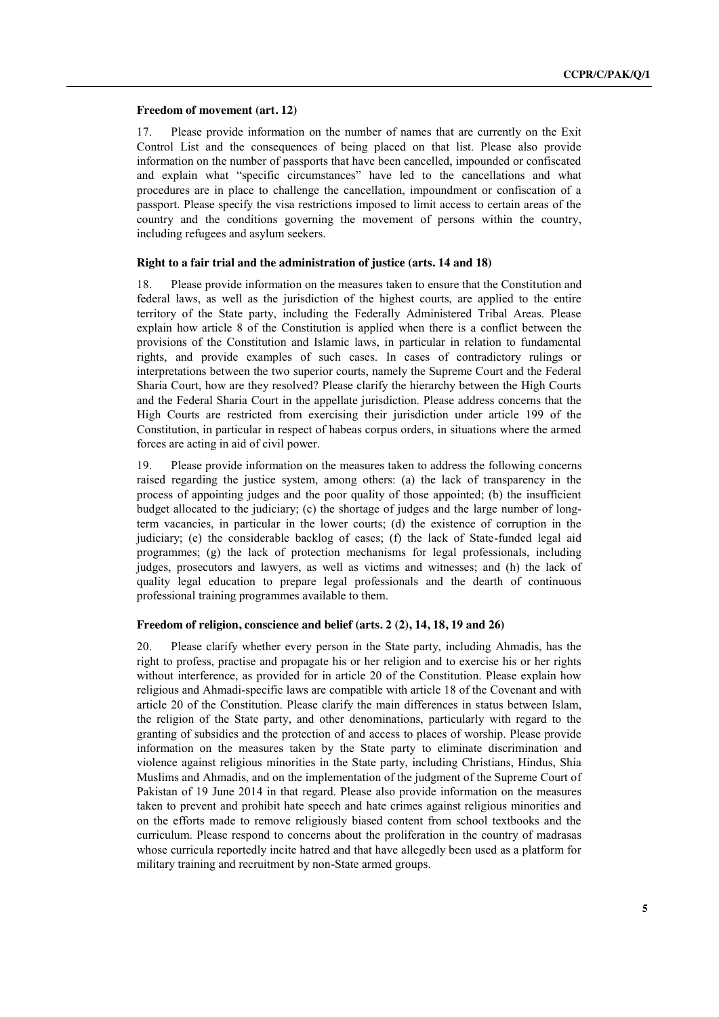#### **Freedom of movement (art. 12)**

17. Please provide information on the number of names that are currently on the Exit Control List and the consequences of being placed on that list. Please also provide information on the number of passports that have been cancelled, impounded or confiscated and explain what "specific circumstances" have led to the cancellations and what procedures are in place to challenge the cancellation, impoundment or confiscation of a passport. Please specify the visa restrictions imposed to limit access to certain areas of the country and the conditions governing the movement of persons within the country, including refugees and asylum seekers.

#### **Right to a fair trial and the administration of justice (arts. 14 and 18)**

18. Please provide information on the measures taken to ensure that the Constitution and federal laws, as well as the jurisdiction of the highest courts, are applied to the entire territory of the State party, including the Federally Administered Tribal Areas. Please explain how article 8 of the Constitution is applied when there is a conflict between the provisions of the Constitution and Islamic laws, in particular in relation to fundamental rights, and provide examples of such cases. In cases of contradictory rulings or interpretations between the two superior courts, namely the Supreme Court and the Federal Sharia Court, how are they resolved? Please clarify the hierarchy between the High Courts and the Federal Sharia Court in the appellate jurisdiction. Please address concerns that the High Courts are restricted from exercising their jurisdiction under article 199 of the Constitution, in particular in respect of habeas corpus orders, in situations where the armed forces are acting in aid of civil power.

19. Please provide information on the measures taken to address the following concerns raised regarding the justice system, among others: (a) the lack of transparency in the process of appointing judges and the poor quality of those appointed; (b) the insufficient budget allocated to the judiciary; (c) the shortage of judges and the large number of longterm vacancies, in particular in the lower courts; (d) the existence of corruption in the judiciary; (e) the considerable backlog of cases; (f) the lack of State-funded legal aid programmes; (g) the lack of protection mechanisms for legal professionals, including judges, prosecutors and lawyers, as well as victims and witnesses; and (h) the lack of quality legal education to prepare legal professionals and the dearth of continuous professional training programmes available to them.

#### **Freedom of religion, conscience and belief (arts. 2 (2), 14, 18, 19 and 26)**

20. Please clarify whether every person in the State party, including Ahmadis, has the right to profess, practise and propagate his or her religion and to exercise his or her rights without interference, as provided for in article 20 of the Constitution. Please explain how religious and Ahmadi-specific laws are compatible with article 18 of the Covenant and with article 20 of the Constitution. Please clarify the main differences in status between Islam, the religion of the State party, and other denominations, particularly with regard to the granting of subsidies and the protection of and access to places of worship. Please provide information on the measures taken by the State party to eliminate discrimination and violence against religious minorities in the State party, including Christians, Hindus, Shia Muslims and Ahmadis, and on the implementation of the judgment of the Supreme Court of Pakistan of 19 June 2014 in that regard. Please also provide information on the measures taken to prevent and prohibit hate speech and hate crimes against religious minorities and on the efforts made to remove religiously biased content from school textbooks and the curriculum. Please respond to concerns about the proliferation in the country of madrasas whose curricula reportedly incite hatred and that have allegedly been used as a platform for military training and recruitment by non-State armed groups.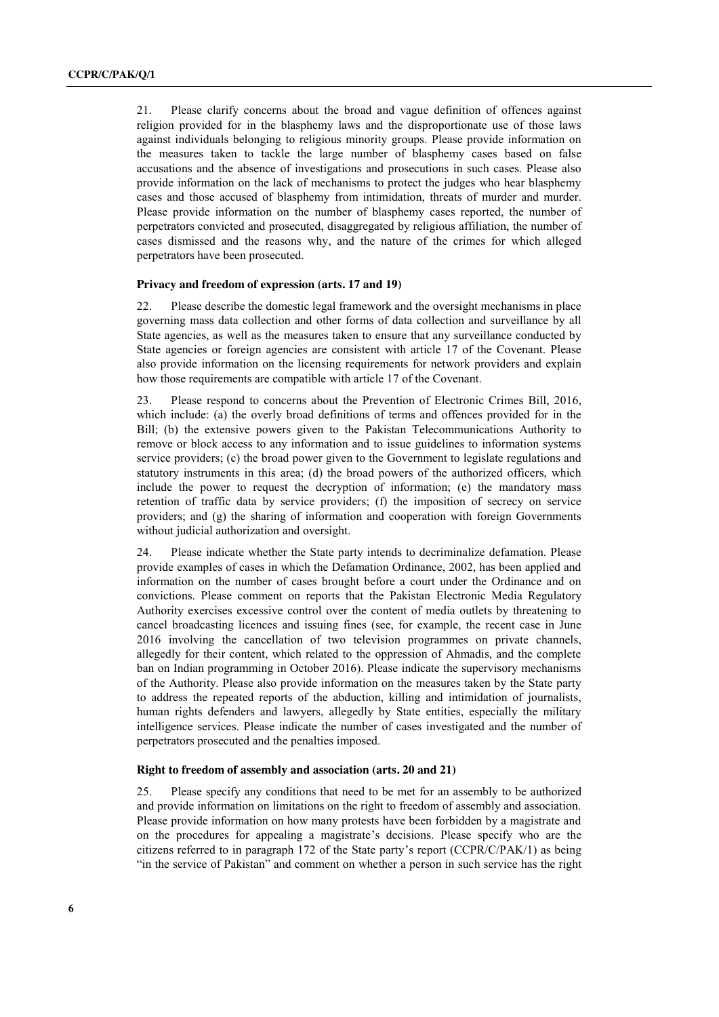21. Please clarify concerns about the broad and vague definition of offences against religion provided for in the blasphemy laws and the disproportionate use of those laws against individuals belonging to religious minority groups. Please provide information on the measures taken to tackle the large number of blasphemy cases based on false accusations and the absence of investigations and prosecutions in such cases. Please also provide information on the lack of mechanisms to protect the judges who hear blasphemy cases and those accused of blasphemy from intimidation, threats of murder and murder. Please provide information on the number of blasphemy cases reported, the number of perpetrators convicted and prosecuted, disaggregated by religious affiliation, the number of cases dismissed and the reasons why, and the nature of the crimes for which alleged perpetrators have been prosecuted.

#### **Privacy and freedom of expression (arts. 17 and 19)**

22. Please describe the domestic legal framework and the oversight mechanisms in place governing mass data collection and other forms of data collection and surveillance by all State agencies, as well as the measures taken to ensure that any surveillance conducted by State agencies or foreign agencies are consistent with article 17 of the Covenant. Please also provide information on the licensing requirements for network providers and explain how those requirements are compatible with article 17 of the Covenant.

23. Please respond to concerns about the Prevention of Electronic Crimes Bill, 2016, which include: (a) the overly broad definitions of terms and offences provided for in the Bill; (b) the extensive powers given to the Pakistan Telecommunications Authority to remove or block access to any information and to issue guidelines to information systems service providers; (c) the broad power given to the Government to legislate regulations and statutory instruments in this area; (d) the broad powers of the authorized officers, which include the power to request the decryption of information; (e) the mandatory mass retention of traffic data by service providers; (f) the imposition of secrecy on service providers; and (g) the sharing of information and cooperation with foreign Governments without judicial authorization and oversight.

24. Please indicate whether the State party intends to decriminalize defamation. Please provide examples of cases in which the Defamation Ordinance, 2002, has been applied and information on the number of cases brought before a court under the Ordinance and on convictions. Please comment on reports that the Pakistan Electronic Media Regulatory Authority exercises excessive control over the content of media outlets by threatening to cancel broadcasting licences and issuing fines (see, for example, the recent case in June 2016 involving the cancellation of two television programmes on private channels, allegedly for their content, which related to the oppression of Ahmadis, and the complete ban on Indian programming in October 2016). Please indicate the supervisory mechanisms of the Authority. Please also provide information on the measures taken by the State party to address the repeated reports of the abduction, killing and intimidation of journalists, human rights defenders and lawyers, allegedly by State entities, especially the military intelligence services. Please indicate the number of cases investigated and the number of perpetrators prosecuted and the penalties imposed.

#### **Right to freedom of assembly and association (arts. 20 and 21)**

25. Please specify any conditions that need to be met for an assembly to be authorized and provide information on limitations on the right to freedom of assembly and association. Please provide information on how many protests have been forbidden by a magistrate and on the procedures for appealing a magistrate's decisions. Please specify who are the citizens referred to in paragraph 172 of the State party's report (CCPR/C/PAK/1) as being "in the service of Pakistan" and comment on whether a person in such service has the right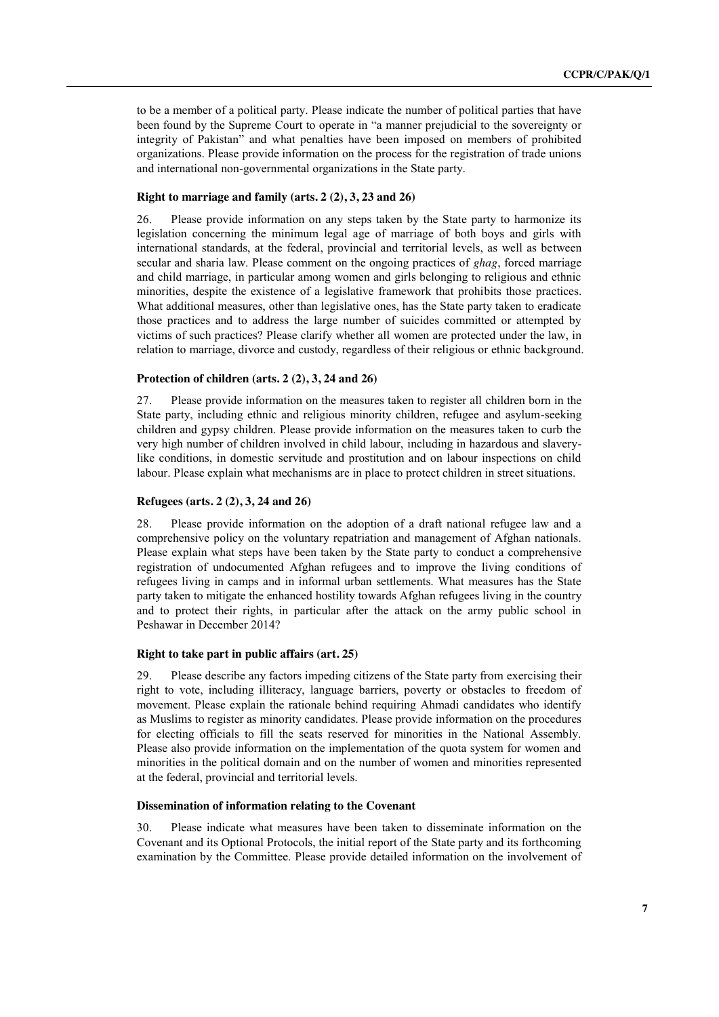to be a member of a political party. Please indicate the number of political parties that have been found by the Supreme Court to operate in "a manner prejudicial to the sovereignty or integrity of Pakistan" and what penalties have been imposed on members of prohibited organizations. Please provide information on the process for the registration of trade unions and international non-governmental organizations in the State party.

## **Right to marriage and family (arts. 2 (2), 3, 23 and 26)**

26. Please provide information on any steps taken by the State party to harmonize its legislation concerning the minimum legal age of marriage of both boys and girls with international standards, at the federal, provincial and territorial levels, as well as between secular and sharia law. Please comment on the ongoing practices of *ghag*, forced marriage and child marriage, in particular among women and girls belonging to religious and ethnic minorities, despite the existence of a legislative framework that prohibits those practices. What additional measures, other than legislative ones, has the State party taken to eradicate those practices and to address the large number of suicides committed or attempted by victims of such practices? Please clarify whether all women are protected under the law, in relation to marriage, divorce and custody, regardless of their religious or ethnic background.

#### **Protection of children (arts. 2 (2), 3, 24 and 26)**

27. Please provide information on the measures taken to register all children born in the State party, including ethnic and religious minority children, refugee and asylum-seeking children and gypsy children. Please provide information on the measures taken to curb the very high number of children involved in child labour, including in hazardous and slaverylike conditions, in domestic servitude and prostitution and on labour inspections on child labour. Please explain what mechanisms are in place to protect children in street situations.

#### **Refugees (arts. 2 (2), 3, 24 and 26)**

28. Please provide information on the adoption of a draft national refugee law and a comprehensive policy on the voluntary repatriation and management of Afghan nationals. Please explain what steps have been taken by the State party to conduct a comprehensive registration of undocumented Afghan refugees and to improve the living conditions of refugees living in camps and in informal urban settlements. What measures has the State party taken to mitigate the enhanced hostility towards Afghan refugees living in the country and to protect their rights, in particular after the attack on the army public school in Peshawar in December 2014?

### **Right to take part in public affairs (art. 25)**

29. Please describe any factors impeding citizens of the State party from exercising their right to vote, including illiteracy, language barriers, poverty or obstacles to freedom of movement. Please explain the rationale behind requiring Ahmadi candidates who identify as Muslims to register as minority candidates. Please provide information on the procedures for electing officials to fill the seats reserved for minorities in the National Assembly. Please also provide information on the implementation of the quota system for women and minorities in the political domain and on the number of women and minorities represented at the federal, provincial and territorial levels.

#### **Dissemination of information relating to the Covenant**

30. Please indicate what measures have been taken to disseminate information on the Covenant and its Optional Protocols, the initial report of the State party and its forthcoming examination by the Committee. Please provide detailed information on the involvement of